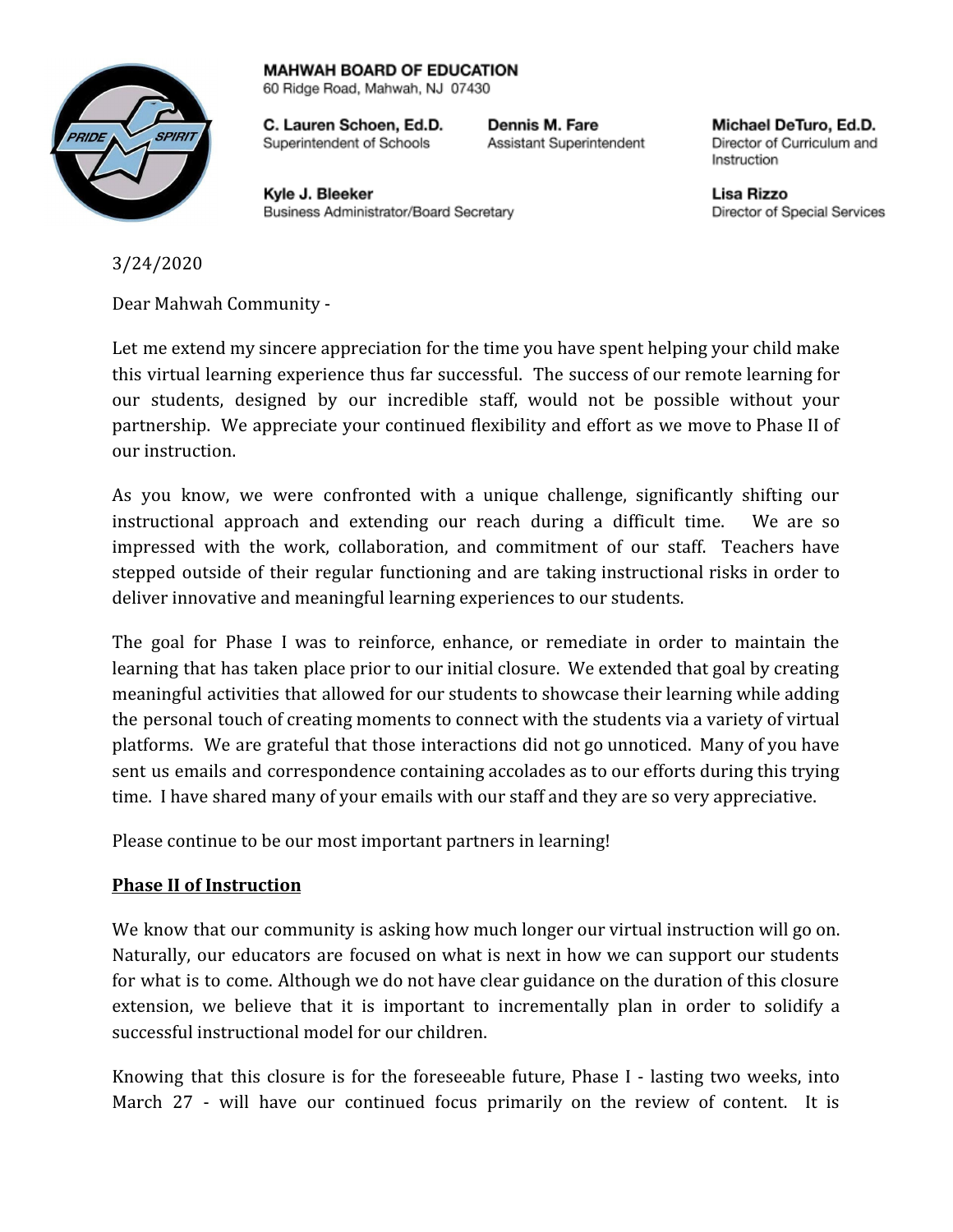## **MAHWAH BOARD OF EDUCATION**



60 Ridge Road, Mahwah, NJ 07430

C. Lauren Schoen, Ed.D. Superintendent of Schools

Dennis M. Fare Assistant Superintendent

Kvle J. Bleeker Business Administrator/Board Secretary

Michael DeTuro, Ed.D. Director of Curriculum and Instruction

Lisa Rizzo Director of Special Services

3/24/2020

Dear Mahwah Community -

Let me extend my sincere appreciation for the time you have spent helping your child make this virtual learning experience thus far successful. The success of our remote learning for our students, designed by our incredible staff, would not be possible without your partnership. We appreciate your continued flexibility and effort as we move to Phase II of our instruction.

As you know, we were confronted with a unique challenge, significantly shifting our instructional approach and extending our reach during a difficult time. We are so impressed with the work, collaboration, and commitment of our staff. Teachers have stepped outside of their regular functioning and are taking instructional risks in order to deliver innovative and meaningful learning experiences to our students.

The goal for Phase I was to reinforce, enhance, or remediate in order to maintain the learning that has taken place prior to our initial closure. We extended that goal by creating meaningful activities that allowed for our students to showcase their learning while adding the personal touch of creating moments to connect with the students via a variety of virtual platforms. We are grateful that those interactions did not go unnoticed. Many of you have sent us emails and correspondence containing accolades as to our efforts during this trying time. I have shared many of your emails with our staff and they are so very appreciative.

Please continue to be our most important partners in learning!

## **Phase II of Instruction**

We know that our community is asking how much longer our virtual instruction will go on. Naturally, our educators are focused on what is next in how we can support our students for what is to come. Although we do not have clear guidance on the duration of this closure extension, we believe that it is important to incrementally plan in order to solidify a successful instructional model for our children.

Knowing that this closure is for the foreseeable future, Phase I - lasting two weeks, into March 27 - will have our continued focus primarily on the review of content. It is